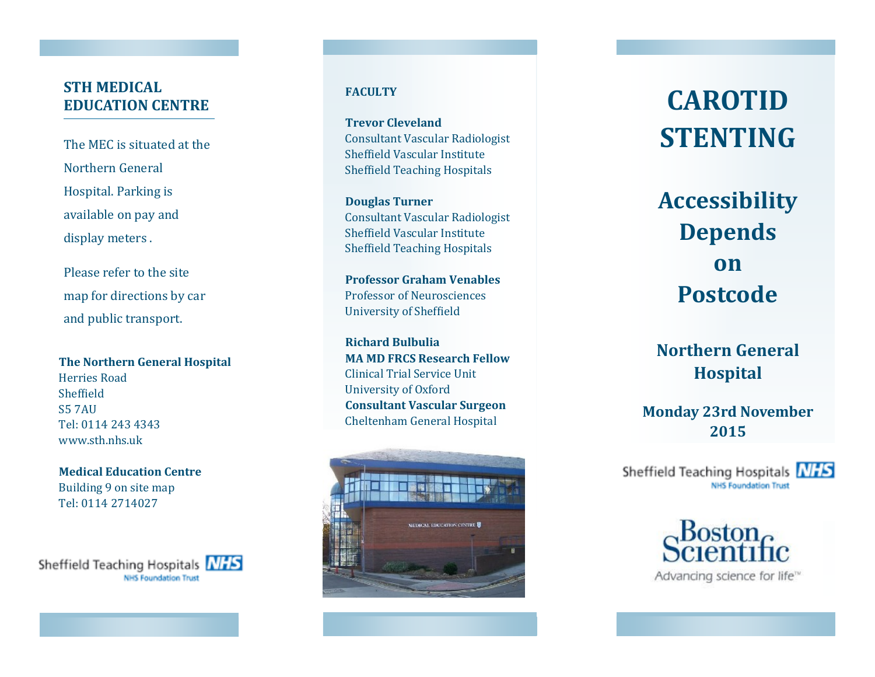## **STH MEDICAL EDUCATION CENTRE**

The MEC is situated at the Northern General Hospital. Parking is available on pay and display meters .

Please refer to the site map for directions by car and public transport.

**The Northern General Hospital** Herries Road Sheffield S5 7AU Tel: 0114 243 4343 www.sth.nhs.uk

**Medical Education Centre**  Building 9 on site map Tel: 0114 2714027

Sheffield Teaching Hospitals NHS **NHS Foundation Trust** 

### **FACULTY**

**Trevor Cleveland**  Consultant Vascular Radiologist Sheffield Vascular Institute Sheffield Teaching Hospitals

**Douglas Turner** Consultant Vascular Radiologist Sheffield Vascular Institute Sheffield Teaching Hospitals

**Professor Graham Venables** Professor of Neurosciences University of Sheffield

**Richard Bulbulia MA MD FRCS Research Fellow** Clinical Trial Service Unit University of Oxford **Consultant Vascular Surgeon** Cheltenham General Hospital



# **CAROTID STENTING**

**Accessibility Depends on Postcode**

**Northern General Hospital** 

**Monday 23rd November 2015**

Sheffield Teaching Hospitals NHS **NHS Foundation Trust**